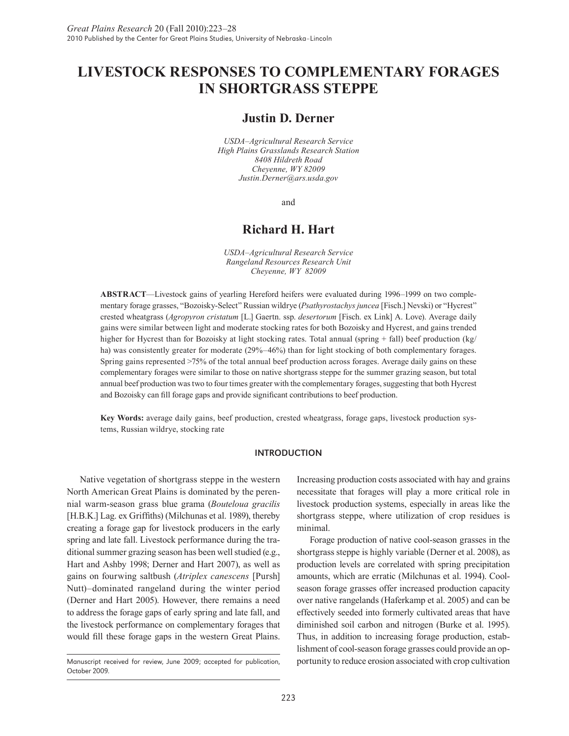# **LIVESTOCK RESPONSES TO COMPLEMENTARY FORAGES IN SHORTGRASS STEPPE**

# **Justin D. Derner**

*USDA–Agricultural Research Service High Plains Grasslands Research Station 8408 Hildreth Road Cheyenne, WY 82009 Justin.Derner@ars.usda.gov*

and

# **Richard H. Hart**

*USDA–Agricultural Research Service Rangeland Resources Research Unit Cheyenne, WY 82009*

**ABSTRACT**—Livestock gains of yearling Hereford heifers were evaluated during 1996–1999 on two complementary forage grasses, "Bozoisky-Select" Russian wildrye (*Psathyrostachys juncea* [Fisch.] Nevski) or "Hycrest" crested wheatgrass (*Agropyron cristatum* [L.] Gaertn. ssp. *desertorum* [Fisch. ex Link] A. Love). Average daily gains were similar between light and moderate stocking rates for both Bozoisky and Hycrest, and gains trended higher for Hycrest than for Bozoisky at light stocking rates. Total annual (spring + fall) beef production (kg/ ha) was consistently greater for moderate (29%–46%) than for light stocking of both complementary forages. Spring gains represented >75% of the total annual beef production across forages. Average daily gains on these complementary forages were similar to those on native shortgrass steppe for the summer grazing season, but total annual beef production was two to four times greater with the complementary forages, suggesting that both Hycrest and Bozoisky can fill forage gaps and provide significant contributions to beef production.

**Key Words:** average daily gains, beef production, crested wheatgrass, forage gaps, livestock production systems, Russian wildrye, stocking rate

## INTRODUCTION

Native vegetation of shortgrass steppe in the western North American Great Plains is dominated by the perennial warm-season grass blue grama (*Bouteloua gracilis* [H.B.K.] Lag. ex Griffiths) (Milchunas et al. 1989), thereby creating a forage gap for livestock producers in the early spring and late fall. Livestock performance during the traditional summer grazing season has been well studied (e.g., Hart and Ashby 1998; Derner and Hart 2007), as well as gains on fourwing saltbush (*Atriplex canescens* [Pursh] Nutt)–dominated rangeland during the winter period (Derner and Hart 2005). However, there remains a need to address the forage gaps of early spring and late fall, and the livestock performance on complementary forages that would fill these forage gaps in the western Great Plains.

Increasing production costs associated with hay and grains necessitate that forages will play a more critical role in livestock production systems, especially in areas like the shortgrass steppe, where utilization of crop residues is minimal.

Forage production of native cool-season grasses in the shortgrass steppe is highly variable (Derner et al. 2008), as production levels are correlated with spring precipitation amounts, which are erratic (Milchunas et al. 1994). Coolseason forage grasses offer increased production capacity over native rangelands (Haferkamp et al. 2005) and can be effectively seeded into formerly cultivated areas that have diminished soil carbon and nitrogen (Burke et al. 1995). Thus, in addition to increasing forage production, establishment of cool-season forage grasses could provide an opportunity to reduce erosion associated with crop cultivation

Manuscript received for review, June 2009; accepted for publication, October 2009.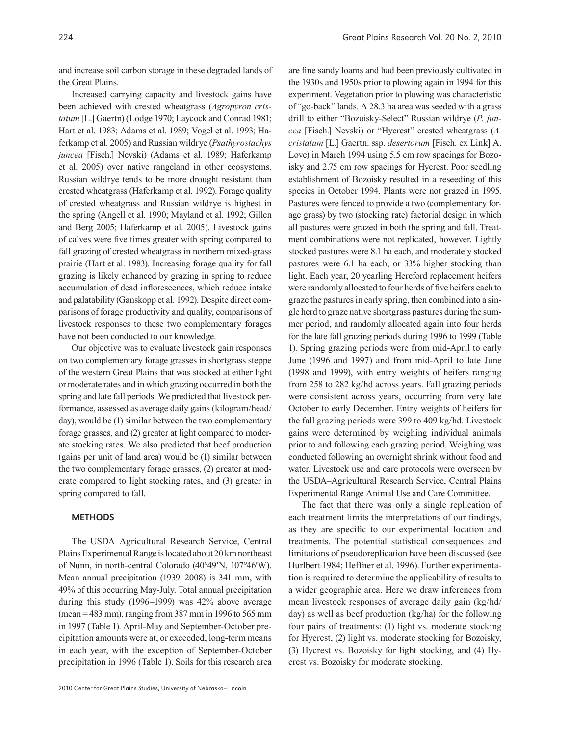and increase soil carbon storage in these degraded lands of the Great Plains.

Increased carrying capacity and livestock gains have been achieved with crested wheatgrass (*Agropyron cristatum* [L.] Gaertn) (Lodge 1970; Laycock and Conrad 1981; Hart et al. 1983; Adams et al. 1989; Vogel et al. 1993; Haferkamp et al. 2005) and Russian wildrye (*Psathyrostachys juncea* [Fisch.] Nevski) (Adams et al. 1989; Haferkamp et al. 2005) over native rangeland in other ecosystems. Russian wildrye tends to be more drought resistant than crested wheatgrass (Haferkamp et al. 1992). Forage quality of crested wheatgrass and Russian wildrye is highest in the spring (Angell et al. 1990; Mayland et al. 1992; Gillen and Berg 2005; Haferkamp et al. 2005). Livestock gains of calves were five times greater with spring compared to fall grazing of crested wheatgrass in northern mixed-grass prairie (Hart et al. 1983). Increasing forage quality for fall grazing is likely enhanced by grazing in spring to reduce accumulation of dead inflorescences, which reduce intake and palatability (Ganskopp et al. 1992). Despite direct comparisons of forage productivity and quality, comparisons of livestock responses to these two complementary forages have not been conducted to our knowledge.

Our objective was to evaluate livestock gain responses on two complementary forage grasses in shortgrass steppe of the western Great Plains that was stocked at either light or moderate rates and in which grazing occurred in both the spring and late fall periods. We predicted that livestock performance, assessed as average daily gains (kilogram/head/ day), would be (1) similar between the two complementary forage grasses, and (2) greater at light compared to moderate stocking rates. We also predicted that beef production (gains per unit of land area) would be (1) similar between the two complementary forage grasses, (2) greater at moderate compared to light stocking rates, and (3) greater in spring compared to fall.

## METHODS

The USDA–Agricultural Research Service, Central Plains Experimental Range is located about 20 km northeast of Nunn, in north-central Colorado (40°49′N, 107°46′W). Mean annual precipitation (1939–2008) is 341 mm, with 49% of this occurring May-July. Total annual precipitation during this study (1996–1999) was 42% above average (mean = 483 mm), ranging from 387 mm in 1996 to 565 mm in 1997 (Table 1). April-May and September-October precipitation amounts were at, or exceeded, long-term means in each year, with the exception of September-October precipitation in 1996 (Table 1). Soils for this research area are fine sandy loams and had been previously cultivated in the 1930s and 1950s prior to plowing again in 1994 for this experiment. Vegetation prior to plowing was characteristic of "go-back" lands. A 28.3 ha area was seeded with a grass drill to either "Bozoisky-Select" Russian wildrye (*P. juncea* [Fisch.] Nevski) or "Hycrest" crested wheatgrass (*A. cristatum* [L.] Gaertn. ssp. *desertorum* [Fisch. ex Link] A. Love) in March 1994 using 5.5 cm row spacings for Bozoisky and 2.75 cm row spacings for Hycrest. Poor seedling establishment of Bozoisky resulted in a reseeding of this species in October 1994. Plants were not grazed in 1995. Pastures were fenced to provide a two (complementary forage grass) by two (stocking rate) factorial design in which all pastures were grazed in both the spring and fall. Treatment combinations were not replicated, however. Lightly stocked pastures were 8.1 ha each, and moderately stocked pastures were 6.1 ha each, or 33% higher stocking than light. Each year, 20 yearling Hereford replacement heifers were randomly allocated to four herds of five heifers each to graze the pastures in early spring, then combined into a single herd to graze native shortgrass pastures during the summer period, and randomly allocated again into four herds for the late fall grazing periods during 1996 to 1999 (Table 1). Spring grazing periods were from mid-April to early June (1996 and 1997) and from mid-April to late June (1998 and 1999), with entry weights of heifers ranging from 258 to 282 kg/hd across years. Fall grazing periods were consistent across years, occurring from very late October to early December. Entry weights of heifers for the fall grazing periods were 399 to 409 kg/hd. Livestock gains were determined by weighing individual animals prior to and following each grazing period. Weighing was conducted following an overnight shrink without food and water. Livestock use and care protocols were overseen by the USDA–Agricultural Research Service, Central Plains Experimental Range Animal Use and Care Committee.

The fact that there was only a single replication of each treatment limits the interpretations of our findings, as they are specific to our experimental location and treatments. The potential statistical consequences and limitations of pseudoreplication have been discussed (see Hurlbert 1984; Heffner et al. 1996). Further experimentation is required to determine the applicability of results to a wider geographic area. Here we draw inferences from mean livestock responses of average daily gain (kg/hd/ day) as well as beef production (kg/ha) for the following four pairs of treatments: (1) light vs. moderate stocking for Hycrest, (2) light vs. moderate stocking for Bozoisky, (3) Hycrest vs. Bozoisky for light stocking, and (4) Hycrest vs. Bozoisky for moderate stocking.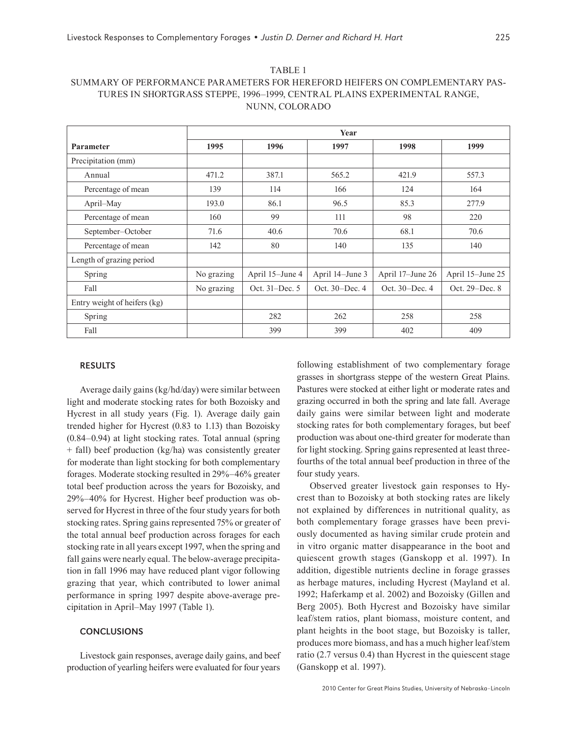| . <i>. .</i> . <i>.</i>                                                      |
|------------------------------------------------------------------------------|
| SUMMARY OF PERFORMANCE PARAMETERS FOR HEREFORD HEIFERS ON COMPLEMENTARY PAS- |
| TURES IN SHORTGRASS STEPPE, 1996-1999, CENTRAL PLAINS EXPERIMENTAL RANGE,    |
| NUNN, COLORADO                                                               |

TARIE<sub>1</sub>

|                              | Year       |                 |                 |                  |                  |
|------------------------------|------------|-----------------|-----------------|------------------|------------------|
| Parameter                    | 1995       | 1996            | 1997            | 1998             | 1999             |
| Precipitation (mm)           |            |                 |                 |                  |                  |
| Annual                       | 471.2      | 387.1           | 565.2           | 421.9            | 557.3            |
| Percentage of mean           | 139        | 114             | 166             | 124              | 164              |
| April–May                    | 193.0      | 86.1            | 96.5            | 85.3             | 277.9            |
| Percentage of mean           | 160        | 99              | 111             | 98               | 220              |
| September-October            | 71.6       | 40.6            | 70.6            | 68.1             | 70.6             |
| Percentage of mean           | 142        | 80              | 140             | 135              | 140              |
| Length of grazing period     |            |                 |                 |                  |                  |
| Spring                       | No grazing | April 15-June 4 | April 14-June 3 | April 17–June 26 | April 15-June 25 |
| Fall                         | No grazing | Oct. 31–Dec. 5  | Oct. 30–Dec. 4  | Oct. 30–Dec. 4   | Oct. 29–Dec. 8   |
| Entry weight of heifers (kg) |            |                 |                 |                  |                  |
| Spring                       |            | 282             | 262             | 258              | 258              |
| Fall                         |            | 399             | 399             | 402              | 409              |

#### RESULTS

Average daily gains (kg/hd/day) were similar between light and moderate stocking rates for both Bozoisky and Hycrest in all study years (Fig. 1). Average daily gain trended higher for Hycrest (0.83 to 1.13) than Bozoisky (0.84–0.94) at light stocking rates. Total annual (spring + fall) beef production (kg/ha) was consistently greater for moderate than light stocking for both complementary forages. Moderate stocking resulted in 29%–46% greater total beef production across the years for Bozoisky, and 29%–40% for Hycrest. Higher beef production was observed for Hycrest in three of the four study years for both stocking rates. Spring gains represented 75% or greater of the total annual beef production across forages for each stocking rate in all years except 1997, when the spring and fall gains were nearly equal. The below-average precipitation in fall 1996 may have reduced plant vigor following grazing that year, which contributed to lower animal performance in spring 1997 despite above-average precipitation in April–May 1997 (Table 1).

#### CONCLUSIONS

Livestock gain responses, average daily gains, and beef production of yearling heifers were evaluated for four years

following establishment of two complementary forage grasses in shortgrass steppe of the western Great Plains. Pastures were stocked at either light or moderate rates and grazing occurred in both the spring and late fall. Average daily gains were similar between light and moderate stocking rates for both complementary forages, but beef production was about one-third greater for moderate than for light stocking. Spring gains represented at least threefourths of the total annual beef production in three of the four study years.

Observed greater livestock gain responses to Hycrest than to Bozoisky at both stocking rates are likely not explained by differences in nutritional quality, as both complementary forage grasses have been previously documented as having similar crude protein and in vitro organic matter disappearance in the boot and quiescent growth stages (Ganskopp et al. 1997). In addition, digestible nutrients decline in forage grasses as herbage matures, including Hycrest (Mayland et al. 1992; Haferkamp et al. 2002) and Bozoisky (Gillen and Berg 2005). Both Hycrest and Bozoisky have similar leaf/stem ratios, plant biomass, moisture content, and plant heights in the boot stage, but Bozoisky is taller, produces more biomass, and has a much higher leaf/stem ratio (2.7 versus 0.4) than Hycrest in the quiescent stage (Ganskopp et al. 1997).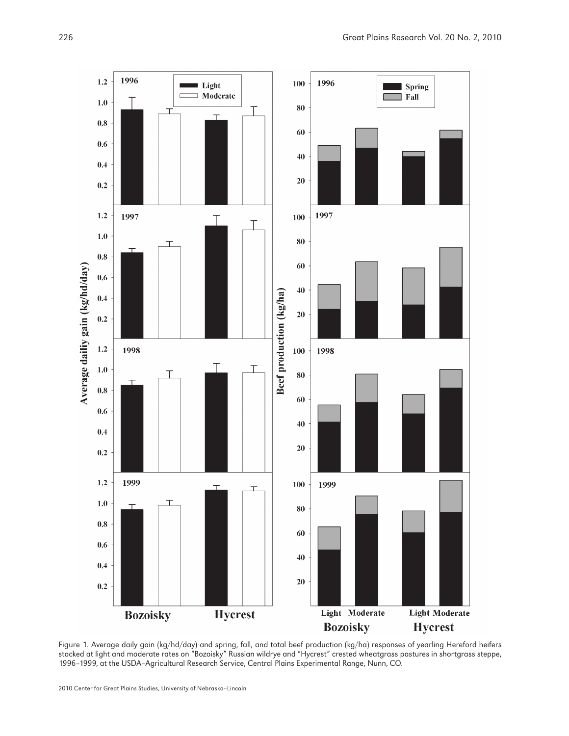

Figure 1. Average daily gain (kg/hd/day) and spring, fall, and total beef production (kg/ha) responses of yearling Hereford heifers stocked at light and moderate rates on "Bozoisky" Russian wildrye and "Hycrest" crested wheatgrass pastures in shortgrass steppe, 1996–1999, at the USDA–Agricultural Research Service, Central Plains Experimental Range, Nunn, CO.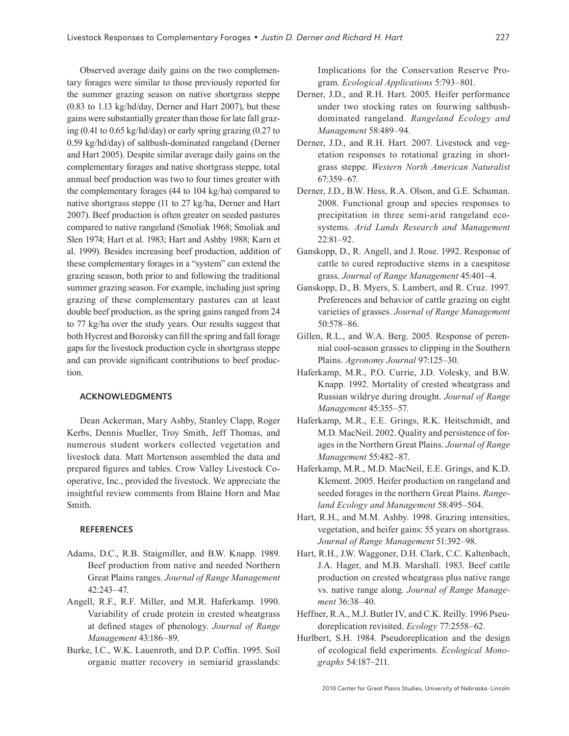Observed average daily gains on the two complementary forages were similar to those previously reported for the summer grazing season on native shortgrass steppe (0.83 to 1.13 kg/hd/day, Derner and Hart 2007), but these gains were substantially greater than those for late fall grazing (0.41 to 0.65 kg/hd/day) or early spring grazing (0.27 to 0.59 kg/hd/day) of saltbush-dominated rangeland (Derner and Hart 2005). Despite similar average daily gains on the complementary forages and native shortgrass steppe, total annual beef production was two to four times greater with the complementary forages (44 to 104 kg/ha) compared to native shortgrass steppe (11 to 27 kg/ha, Derner and Hart 2007). Beef production is often greater on seeded pastures compared to native rangeland (Smoliak 1968; Smoliak and Slen 1974; Hart et al. 1983; Hart and Ashby 1988; Karn et al. 1999). Besides increasing beef production, addition of these complementary forages in a "system" can extend the grazing season, both prior to and following the traditional summer grazing season. For example, including just spring grazing of these complementary pastures can at least double beef production, as the spring gains ranged from 24 to 77 kg/ha over the study years. Our results suggest that both Hycrest and Bozoisky can fill the spring and fall forage gaps for the livestock production cycle in shortgrass steppe and can provide significant contributions to beef production.

## ACKNOWLEDGMENTS

Dean Ackerman, Mary Ashby, Stanley Clapp, Roger Kerbs, Dennis Mueller, Troy Smith, Jeff Thomas, and numerous student workers collected vegetation and livestock data. Matt Mortenson assembled the data and prepared figures and tables. Crow Valley Livestock Cooperative, Inc., provided the livestock. We appreciate the insightful review comments from Blaine Horn and Mae Smith.

#### **REFERENCES**

- Adams, D.C., R.B. Staigmiller, and B.W. Knapp. 1989. Beef production from native and needed Northern Great Plains ranges. *Journal of Range Management* 42:243–47.
- Angell, R.F., R.F. Miller, and M.R. Haferkamp. 1990. Variability of crude protein in crested wheatgrass at defined stages of phenology. *Journal of Range Management* 43:186–89.
- Burke, I.C., W.K. Lauenroth, and D.P. Coffin. 1995. Soil organic matter recovery in semiarid grasslands:

Implications for the Conservation Reserve Program. *Ecological Applications* 5:793–801.

- Derner, J.D., and R.H. Hart. 2005. Heifer performance under two stocking rates on fourwing saltbushdominated rangeland. *Rangeland Ecology and Management* 58:489–94.
- Derner, J.D., and R.H. Hart. 2007. Livestock and vegetation responses to rotational grazing in shortgrass steppe. *Western North American Naturalist* 67:359–67.
- Derner, J.D., B.W. Hess, R.A. Olson, and G.E. Schuman. 2008. Functional group and species responses to precipitation in three semi-arid rangeland ecosystems. *Arid Lands Research and Management* 22:81–92.
- Ganskopp, D., R. Angell, and J. Rose. 1992. Response of cattle to cured reproductive stems in a caespitose grass. *Journal of Range Management* 45:401–4.
- Ganskopp, D., B. Myers, S. Lambert, and R. Cruz. 1997. Preferences and behavior of cattle grazing on eight varieties of grasses. *Journal of Range Management* 50:578–86.
- Gillen, R.L., and W.A. Berg. 2005. Response of perennial cool-season grasses to clipping in the Southern Plains. *Agronomy Journal* 97:125–30.
- Haferkamp, M.R., P.O. Currie, J.D. Volesky, and B.W. Knapp. 1992. Mortality of crested wheatgrass and Russian wildrye during drought. *Journal of Range Management* 45:355–57.
- Haferkamp, M.R., E.E. Grings, R.K. Heitschmidt, and M.D. MacNeil. 2002. Quality and persistence of forages in the Northern Great Plains. *Journal of Range Management* 55:482–87.
- Haferkamp, M.R., M.D. MacNeil, E.E. Grings, and K.D. Klement. 2005. Heifer production on rangeland and seeded forages in the northern Great Plains. *Rangeland Ecology and Management* 58:495–504.
- Hart, R.H., and M.M. Ashby. 1998. Grazing intensities, vegetation, and heifer gains: 55 years on shortgrass. *Journal of Range Management* 51:392–98.
- Hart, R.H., J.W. Waggoner, D.H. Clark, C.C. Kaltenbach, J.A. Hager, and M.B. Marshall. 1983. Beef cattle production on crested wheatgrass plus native range vs. native range along. *Journal of Range Management* 36:38–40.
- Heffner, R.A., M.J. Butler IV, and C.K. Reilly. 1996 Pseudoreplication revisited. *Ecology* 77:2558–62.
- Hurlbert, S.H. 1984. Pseudoreplication and the design of ecological field experiments. *Ecological Monographs* 54:187–211.